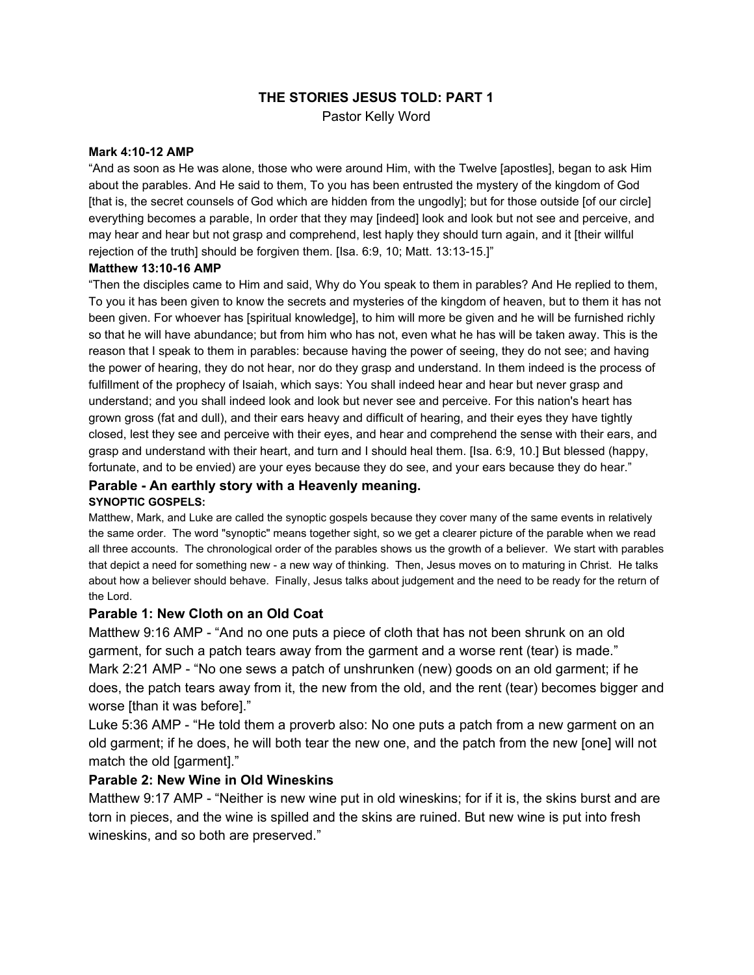# **THE STORIES JESUS TOLD: PART 1**

Pastor Kelly Word

#### **Mark 4:1012 AMP**

"And as soon as He was alone, those who were around Him, with the Twelve [apostles], began to ask Him about the parables. And He said to them, To you has been entrusted the mystery of the kingdom of God [that is, the secret counsels of God which are hidden from the ungodly]; but for those outside [of our circle] everything becomes a parable, In order that they may [indeed] look and look but not see and perceive, and may hear and hear but not grasp and comprehend, lest haply they should turn again, and it [their willful rejection of the truth] should be forgiven them. [Isa. 6:9, 10; Matt. 13:13-15.]"

#### **Matthew 13:10-16 AMP**

"Then the disciples came to Him and said, Why do You speak to them in parables? And He replied to them, To you it has been given to know the secrets and mysteries of the kingdom of heaven, but to them it has not been given. For whoever has [spiritual knowledge], to him will more be given and he will be furnished richly so that he will have abundance; but from him who has not, even what he has will be taken away. This is the reason that I speak to them in parables: because having the power of seeing, they do not see; and having the power of hearing, they do not hear, nor do they grasp and understand. In them indeed is the process of fulfillment of the prophecy of Isaiah, which says: You shall indeed hear and hear but never grasp and understand; and you shall indeed look and look but never see and perceive. For this nation's heart has grown gross (fat and dull), and their ears heavy and difficult of hearing, and their eyes they have tightly closed, lest they see and perceive with their eyes, and hear and comprehend the sense with their ears, and grasp and understand with their heart, and turn and I should heal them. [Isa. 6:9, 10.] But blessed (happy, fortunate, and to be envied) are your eyes because they do see, and your ears because they do hear."

# **Parable An earthly story with a Heavenly meaning.**

### **SYNOPTIC GOSPELS:**

Matthew, Mark, and Luke are called the synoptic gospels because they cover many of the same events in relatively the same order. The word "synoptic" means together sight, so we get a clearer picture of the parable when we read all three accounts. The chronological order of the parables shows us the growth of a believer. We start with parables that depict a need for something new - a new way of thinking. Then, Jesus moves on to maturing in Christ. He talks about how a believer should behave. Finally, Jesus talks about judgement and the need to be ready for the return of the Lord.

### **Parable 1: New Cloth on an Old Coat**

Matthew 9:16 AMP - "And no one puts a piece of cloth that has not been shrunk on an old garment, for such a patch tears away from the garment and a worse rent (tear) is made." Mark 2:21 AMP - "No one sews a patch of unshrunken (new) goods on an old garment; if he does, the patch tears away from it, the new from the old, and the rent (tear) becomes bigger and worse [than it was before]."

Luke 5:36 AMP - "He told them a proverb also: No one puts a patch from a new garment on an old garment; if he does, he will both tear the new one, and the patch from the new [one] will not match the old [garment]."

### **Parable 2: New Wine in Old Wineskins**

Matthew 9:17 AMP - "Neither is new wine put in old wineskins; for if it is, the skins burst and are torn in pieces, and the wine is spilled and the skins are ruined. But new wine is put into fresh wineskins, and so both are preserved."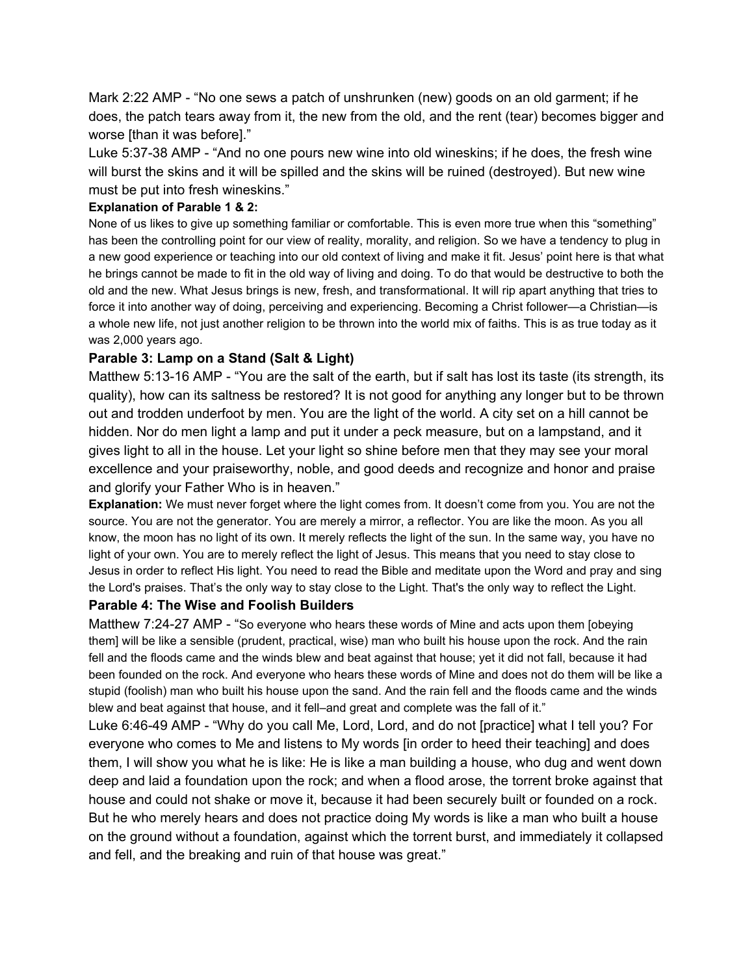Mark 2:22 AMP - "No one sews a patch of unshrunken (new) goods on an old garment; if he does, the patch tears away from it, the new from the old, and the rent (tear) becomes bigger and worse [than it was before]."

Luke 5:37-38 AMP - "And no one pours new wine into old wineskins; if he does, the fresh wine will burst the skins and it will be spilled and the skins will be ruined (destroyed). But new wine must be put into fresh wineskins."

### **Explanation of Parable 1 & 2:**

None of us likes to give up something familiar or comfortable. This is even more true when this "something" has been the controlling point for our view of reality, morality, and religion. So we have a tendency to plug in a new good experience or teaching into our old context of living and make it fit. Jesus' point here is that what he brings cannot be made to fit in the old way of living and doing. To do that would be destructive to both the old and the new. What Jesus brings is new, fresh, and transformational. It will rip apart anything that tries to force it into another way of doing, perceiving and experiencing. Becoming a Christ follower—a Christian—is a whole new life, not just another religion to be thrown into the world mix of faiths. This is as true today as it was 2,000 years ago.

### **Parable 3: Lamp on a Stand (Salt & Light)**

Matthew 5:13-16 AMP - "You are the salt of the earth, but if salt has lost its taste (its strength, its quality), how can its saltness be restored? It is not good for anything any longer but to be thrown out and trodden underfoot by men. You are the light of the world. A city set on a hill cannot be hidden. Nor do men light a lamp and put it under a peck measure, but on a lampstand, and it gives light to all in the house. Let your light so shine before men that they may see your moral excellence and your praiseworthy, noble, and good deeds and recognize and honor and praise and glorify your Father Who is in heaven."

**Explanation:** We must never forget where the light comes from. It doesn't come from you. You are not the source. You are not the generator. You are merely a mirror, a reflector. You are like the moon. As you all know, the moon has no light of its own. It merely reflects the light of the sun. In the same way, you have no light of your own. You are to merely reflect the light of Jesus. This means that you need to stay close to Jesus in order to reflect His light. You need to read the Bible and meditate upon the Word and pray and sing the Lord's praises. That's the only way to stay close to the Light. That's the only way to reflect the Light.

### **Parable 4: The Wise and Foolish Builders**

Matthew 7:24-27 AMP - "So everyone who hears these words of Mine and acts upon them [obeying them] will be like a sensible (prudent, practical, wise) man who built his house upon the rock. And the rain fell and the floods came and the winds blew and beat against that house; yet it did not fall, because it had been founded on the rock. And everyone who hears these words of Mine and does not do them will be like a stupid (foolish) man who built his house upon the sand. And the rain fell and the floods came and the winds blew and beat against that house, and it fell–and great and complete was the fall of it."

Luke 6:46-49 AMP - "Why do you call Me, Lord, Lord, and do not [practice] what I tell you? For everyone who comes to Me and listens to My words [in order to heed their teaching] and does them, I will show you what he is like: He is like a man building a house, who dug and went down deep and laid a foundation upon the rock; and when a flood arose, the torrent broke against that house and could not shake or move it, because it had been securely built or founded on a rock. But he who merely hears and does not practice doing My words is like a man who built a house on the ground without a foundation, against which the torrent burst, and immediately it collapsed and fell, and the breaking and ruin of that house was great."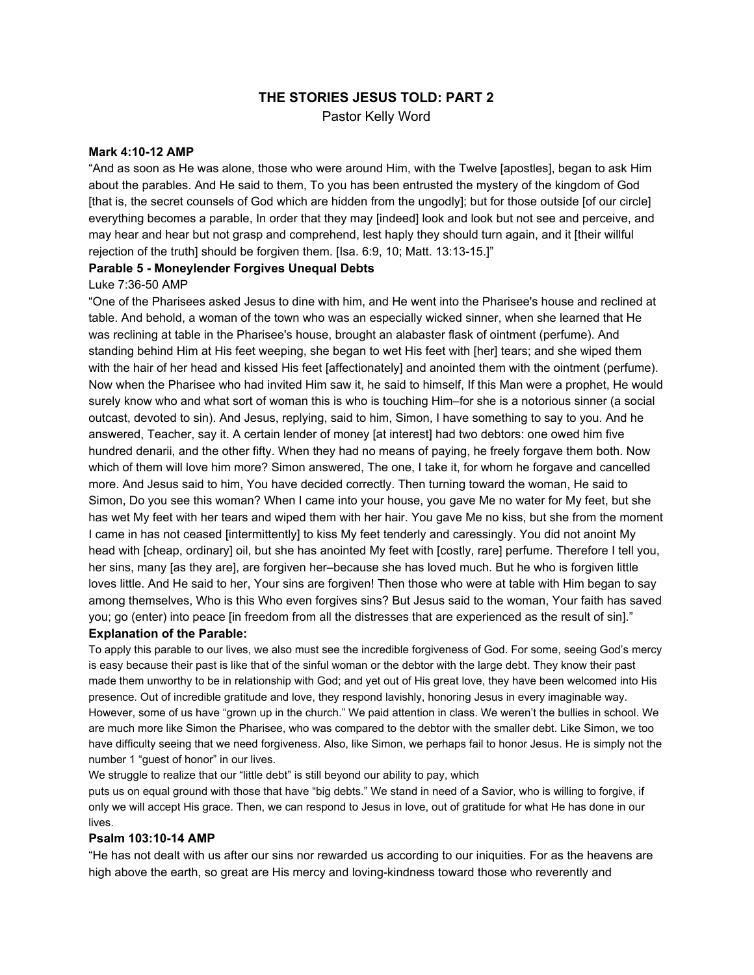# **THE STORIES JESUS TOLD: PART 2**

Pastor Kelly Word

#### **Mark 4:1012 AMP**

"And as soon as He was alone, those who were around Him, with the Twelve [apostles], began to ask Him about the parables. And He said to them, To you has been entrusted the mystery of the kingdom of God [that is, the secret counsels of God which are hidden from the ungodly]; but for those outside [of our circle] everything becomes a parable, In order that they may [indeed] look and look but not see and perceive, and may hear and hear but not grasp and comprehend, lest haply they should turn again, and it [their willful rejection of the truth] should be forgiven them. [Isa. 6:9, 10; Matt. 13:13-15.]"

#### **Parable 5 Moneylender Forgives Unequal Debts**

#### Luke 7:36-50 AMP

"One of the Pharisees asked Jesus to dine with him, and He went into the Pharisee's house and reclined at table. And behold, a woman of the town who was an especially wicked sinner, when she learned that He was reclining at table in the Pharisee's house, brought an alabaster flask of ointment (perfume). And standing behind Him at His feet weeping, she began to wet His feet with [her] tears; and she wiped them with the hair of her head and kissed His feet [affectionately] and anointed them with the ointment (perfume). Now when the Pharisee who had invited Him saw it, he said to himself, If this Man were a prophet, He would surely know who and what sort of woman this is who is touching Him–for she is a notorious sinner (a social outcast, devoted to sin). And Jesus, replying, said to him, Simon, I have something to say to you. And he answered, Teacher, say it. A certain lender of money [at interest] had two debtors: one owed him five hundred denarii, and the other fifty. When they had no means of paying, he freely forgave them both. Now which of them will love him more? Simon answered, The one, I take it, for whom he forgave and cancelled more. And Jesus said to him, You have decided correctly. Then turning toward the woman, He said to Simon, Do you see this woman? When I came into your house, you gave Me no water for My feet, but she has wet My feet with her tears and wiped them with her hair. You gave Me no kiss, but she from the moment I came in has not ceased [intermittently] to kiss My feet tenderly and caressingly. You did not anoint My head with [cheap, ordinary] oil, but she has anointed My feet with [costly, rare] perfume. Therefore I tell you, her sins, many [as they are], are forgiven her–because she has loved much. But he who is forgiven little loves little. And He said to her, Your sins are forgiven! Then those who were at table with Him began to say among themselves, Who is this Who even forgives sins? But Jesus said to the woman, Your faith has saved you; go (enter) into peace [in freedom from all the distresses that are experienced as the result of sin]." **Explanation of the Parable:**

To apply this parable to our lives, we also must see the incredible forgiveness of God. For some, seeing God's mercy is easy because their past is like that of the sinful woman or the debtor with the large debt. They know their past made them unworthy to be in relationship with God; and yet out of His great love, they have been welcomed into His presence. Out of incredible gratitude and love, they respond lavishly, honoring Jesus in every imaginable way. However, some of us have "grown up in the church." We paid attention in class. We weren't the bullies in school. We are much more like Simon the Pharisee, who was compared to the debtor with the smaller debt. Like Simon, we too have difficulty seeing that we need forgiveness. Also, like Simon, we perhaps fail to honor Jesus. He is simply not the number 1 "guest of honor" in our lives.

We struggle to realize that our "little debt" is still beyond our ability to pay, which

puts us on equal ground with those that have "big debts." We stand in need of a Savior, who is willing to forgive, if only we will accept His grace. Then, we can respond to Jesus in love, out of gratitude for what He has done in our lives.

#### **Psalm 103:10-14 AMP**

"He has not dealt with us after our sins nor rewarded us according to our iniquities. For as the heavens are high above the earth, so great are His mercy and loving-kindness toward those who reverently and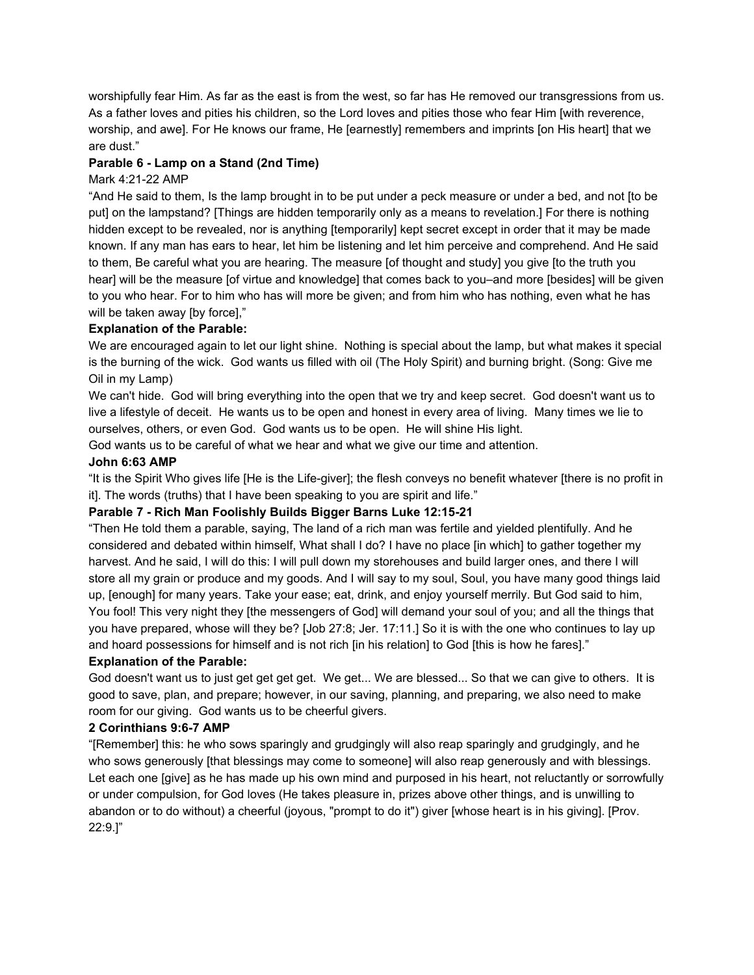worshipfully fear Him. As far as the east is from the west, so far has He removed our transgressions from us. As a father loves and pities his children, so the Lord loves and pities those who fear Him [with reverence, worship, and awe]. For He knows our frame, He [earnestly] remembers and imprints [on His heart] that we are dust."

### **Parable 6 Lamp on a Stand (2nd Time)**

### Mark 4:21-22 AMP

"And He said to them, Is the lamp brought in to be put under a peck measure or under a bed, and not [to be put] on the lampstand? [Things are hidden temporarily only as a means to revelation.] For there is nothing hidden except to be revealed, nor is anything [temporarily] kept secret except in order that it may be made known. If any man has ears to hear, let him be listening and let him perceive and comprehend. And He said to them, Be careful what you are hearing. The measure [of thought and study] you give [to the truth you hear] will be the measure [of virtue and knowledge] that comes back to you–and more [besides] will be given to you who hear. For to him who has will more be given; and from him who has nothing, even what he has will be taken away [by force],"

### **Explanation of the Parable:**

We are encouraged again to let our light shine. Nothing is special about the lamp, but what makes it special is the burning of the wick. God wants us filled with oil (The Holy Spirit) and burning bright. (Song: Give me Oil in my Lamp)

We can't hide. God will bring everything into the open that we try and keep secret. God doesn't want us to live a lifestyle of deceit. He wants us to be open and honest in every area of living. Many times we lie to ourselves, others, or even God. God wants us to be open. He will shine His light.

God wants us to be careful of what we hear and what we give our time and attention.

### **John 6:63 AMP**

"It is the Spirit Who gives life [He is the Life-giver]; the flesh conveys no benefit whatever [there is no profit in it]. The words (truths) that I have been speaking to you are spirit and life."

### **Parable 7 Rich Man Foolishly Builds Bigger Barns Luke 12:1521**

"Then He told them a parable, saying, The land of a rich man was fertile and yielded plentifully. And he considered and debated within himself, What shall I do? I have no place [in which] to gather together my harvest. And he said, I will do this: I will pull down my storehouses and build larger ones, and there I will store all my grain or produce and my goods. And I will say to my soul, Soul, you have many good things laid up, [enough] for many years. Take your ease; eat, drink, and enjoy yourself merrily. But God said to him, You fool! This very night they [the messengers of God] will demand your soul of you; and all the things that you have prepared, whose will they be? [Job 27:8; Jer. 17:11.] So it is with the one who continues to lay up and hoard possessions for himself and is not rich [in his relation] to God [this is how he fares]."

### **Explanation of the Parable:**

God doesn't want us to just get get get get. We get... We are blessed... So that we can give to others. It is good to save, plan, and prepare; however, in our saving, planning, and preparing, we also need to make room for our giving. God wants us to be cheerful givers.

### **2 Corinthians 9:67 AMP**

"[Remember] this: he who sows sparingly and grudgingly will also reap sparingly and grudgingly, and he who sows generously [that blessings may come to someone] will also reap generously and with blessings. Let each one [give] as he has made up his own mind and purposed in his heart, not reluctantly or sorrowfully or under compulsion, for God loves (He takes pleasure in, prizes above other things, and is unwilling to abandon or to do without) a cheerful (joyous, "prompt to do it") giver [whose heart is in his giving]. [Prov. 22:9.]"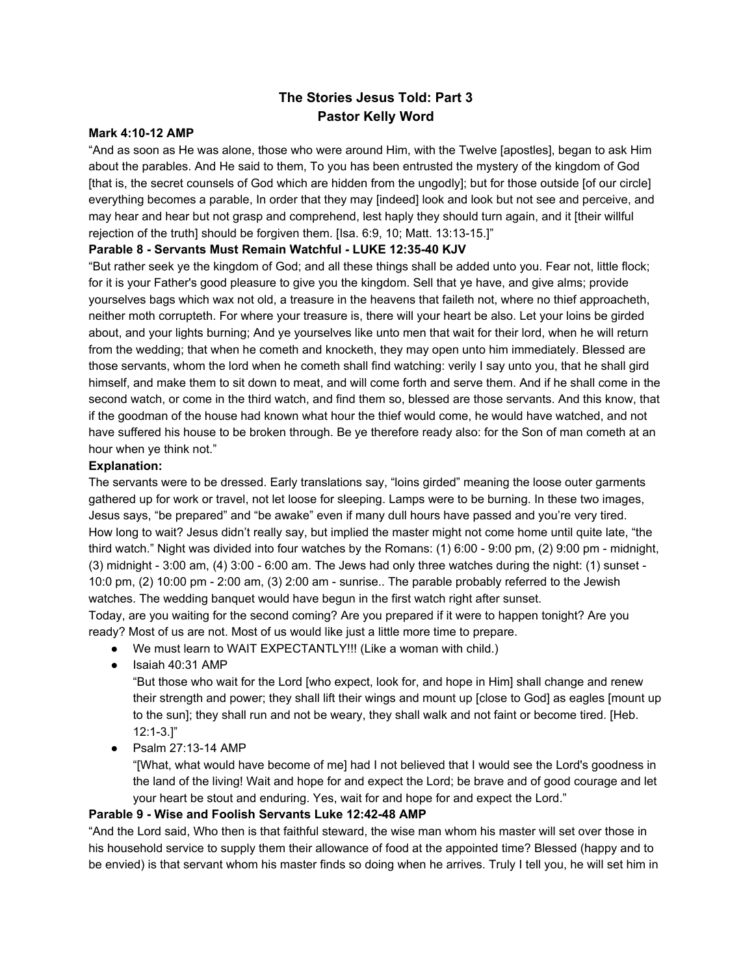# **The Stories Jesus Told: Part 3 Pastor Kelly Word**

#### **Mark 4:1012 AMP**

"And as soon as He was alone, those who were around Him, with the Twelve [apostles], began to ask Him about the parables. And He said to them, To you has been entrusted the mystery of the kingdom of God [that is, the secret counsels of God which are hidden from the ungodly]; but for those outside [of our circle] everything becomes a parable, In order that they may [indeed] look and look but not see and perceive, and may hear and hear but not grasp and comprehend, lest haply they should turn again, and it [their willful rejection of the truth] should be forgiven them. [Isa. 6:9, 10; Matt. 13:13-15.]"

### **Parable 8 Servants Must Remain Watchful LUKE 12:3540 KJV**

"But rather seek ye the kingdom of God; and all these things shall be added unto you. Fear not, little flock; for it is your Father's good pleasure to give you the kingdom. Sell that ye have, and give alms; provide yourselves bags which wax not old, a treasure in the heavens that faileth not, where no thief approacheth, neither moth corrupteth. For where your treasure is, there will your heart be also. Let your loins be girded about, and your lights burning; And ye yourselves like unto men that wait for their lord, when he will return from the wedding; that when he cometh and knocketh, they may open unto him immediately. Blessed are those servants, whom the lord when he cometh shall find watching: verily I say unto you, that he shall gird himself, and make them to sit down to meat, and will come forth and serve them. And if he shall come in the second watch, or come in the third watch, and find them so, blessed are those servants. And this know, that if the goodman of the house had known what hour the thief would come, he would have watched, and not have suffered his house to be broken through. Be ye therefore ready also: for the Son of man cometh at an hour when ye think not."

### **Explanation:**

The servants were to be dressed. Early translations say, "loins girded" meaning the loose outer garments gathered up for work or travel, not let loose for sleeping. Lamps were to be burning. In these two images, Jesus says, "be prepared" and "be awake" even if many dull hours have passed and you're very tired. How long to wait? Jesus didn't really say, but implied the master might not come home until quite late, "the third watch." Night was divided into four watches by the Romans:  $(1)$  6:00 - 9:00 pm,  $(2)$  9:00 pm - midnight,  $(3)$  midnight  $-3:00$  am,  $(4)$   $3:00$   $-6:00$  am. The Jews had only three watches during the night:  $(1)$  sunset  $-$ 10:0 pm,  $(2)$  10:00 pm  $-$  2:00 am,  $(3)$  2:00 am  $-$  sunrise.. The parable probably referred to the Jewish watches. The wedding banquet would have begun in the first watch right after sunset.

Today, are you waiting for the second coming? Are you prepared if it were to happen tonight? Are you ready? Most of us are not. Most of us would like just a little more time to prepare.

- We must learn to WAIT EXPECTANTLY!!! (Like a woman with child.)
- Isaiah 40:31 AMP

"But those who wait for the Lord [who expect, look for, and hope in Him] shall change and renew their strength and power; they shall lift their wings and mount up [close to God] as eagles [mount up to the sun]; they shall run and not be weary, they shall walk and not faint or become tired. [Heb.  $12:1-3.$ ]"

 $\bullet$  Psalm 27:13-14 AMP

"[What, what would have become of me] had I not believed that I would see the Lord's goodness in the land of the living! Wait and hope for and expect the Lord; be brave and of good courage and let your heart be stout and enduring. Yes, wait for and hope for and expect the Lord."

### **Parable 9 Wise and Foolish Servants Luke 12:4248 AMP**

"And the Lord said, Who then is that faithful steward, the wise man whom his master will set over those in his household service to supply them their allowance of food at the appointed time? Blessed (happy and to be envied) is that servant whom his master finds so doing when he arrives. Truly I tell you, he will set him in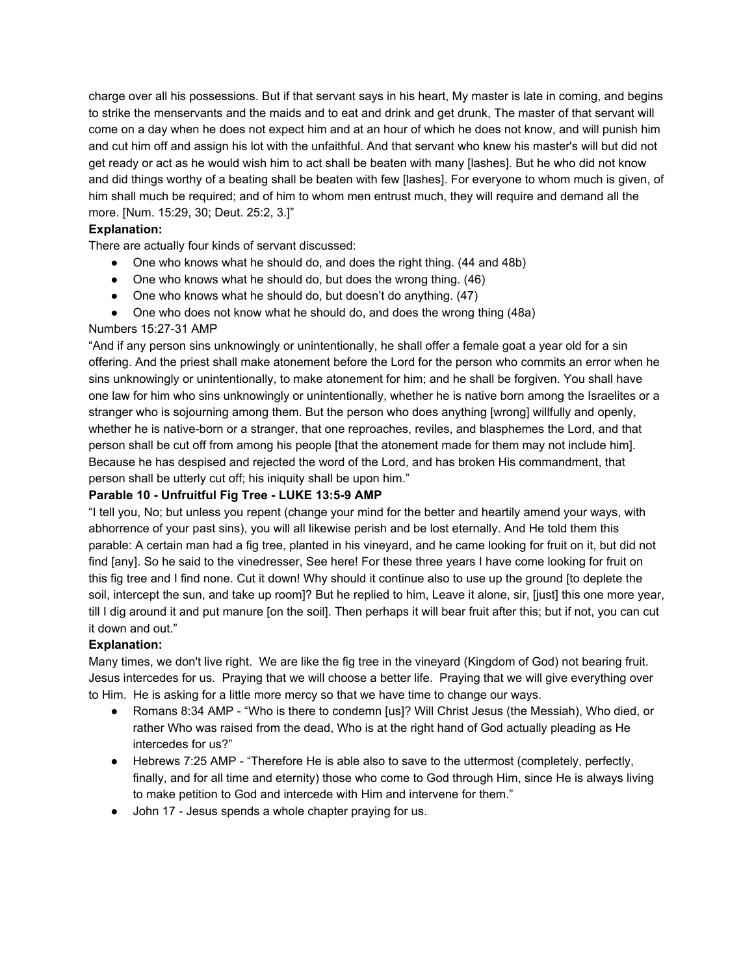charge over all his possessions. But if that servant says in his heart, My master is late in coming, and begins to strike the menservants and the maids and to eat and drink and get drunk, The master of that servant will come on a day when he does not expect him and at an hour of which he does not know, and will punish him and cut him off and assign his lot with the unfaithful. And that servant who knew his master's will but did not get ready or act as he would wish him to act shall be beaten with many [lashes]. But he who did not know and did things worthy of a beating shall be beaten with few [lashes]. For everyone to whom much is given, of him shall much be required; and of him to whom men entrust much, they will require and demand all the more. [Num. 15:29, 30; Deut. 25:2, 3.]"

### **Explanation:**

There are actually four kinds of servant discussed:

- One who knows what he should do, and does the right thing. (44 and 48b)
- One who knows what he should do, but does the wrong thing. (46)
- One who knows what he should do, but doesn't do anything. (47)
- One who does not know what he should do, and does the wrong thing (48a)

### Numbers 15:27-31 AMP

"And if any person sins unknowingly or unintentionally, he shall offer a female goat a year old for a sin offering. And the priest shall make atonement before the Lord for the person who commits an error when he sins unknowingly or unintentionally, to make atonement for him; and he shall be forgiven. You shall have one law for him who sins unknowingly or unintentionally, whether he is native born among the Israelites or a stranger who is sojourning among them. But the person who does anything [wrong] willfully and openly, whether he is native-born or a stranger, that one reproaches, reviles, and blasphemes the Lord, and that person shall be cut off from among his people [that the atonement made for them may not include him]. Because he has despised and rejected the word of the Lord, and has broken His commandment, that person shall be utterly cut off; his iniquity shall be upon him."

### **Parable 10 Unfruitful Fig Tree LUKE 13:59 AMP**

"I tell you, No; but unless you repent (change your mind for the better and heartily amend your ways, with abhorrence of your past sins), you will all likewise perish and be lost eternally. And He told them this parable: A certain man had a fig tree, planted in his vineyard, and he came looking for fruit on it, but did not find [any]. So he said to the vinedresser, See here! For these three years I have come looking for fruit on this fig tree and I find none. Cut it down! Why should it continue also to use up the ground [to deplete the soil, intercept the sun, and take up room]? But he replied to him, Leave it alone, sir, [just] this one more year, till I dig around it and put manure [on the soil]. Then perhaps it will bear fruit after this; but if not, you can cut it down and out."

### **Explanation:**

Many times, we don't live right. We are like the fig tree in the vineyard (Kingdom of God) not bearing fruit. Jesus intercedes for us. Praying that we will choose a better life. Praying that we will give everything over to Him. He is asking for a little more mercy so that we have time to change our ways.

- Romans 8:34 AMP "Who is there to condemn [us]? Will Christ Jesus (the Messiah), Who died, or rather Who was raised from the dead, Who is at the right hand of God actually pleading as He intercedes for us?"
- Hebrews 7:25 AMP "Therefore He is able also to save to the uttermost (completely, perfectly, finally, and for all time and eternity) those who come to God through Him, since He is always living to make petition to God and intercede with Him and intervene for them."
- John 17 Jesus spends a whole chapter praying for us.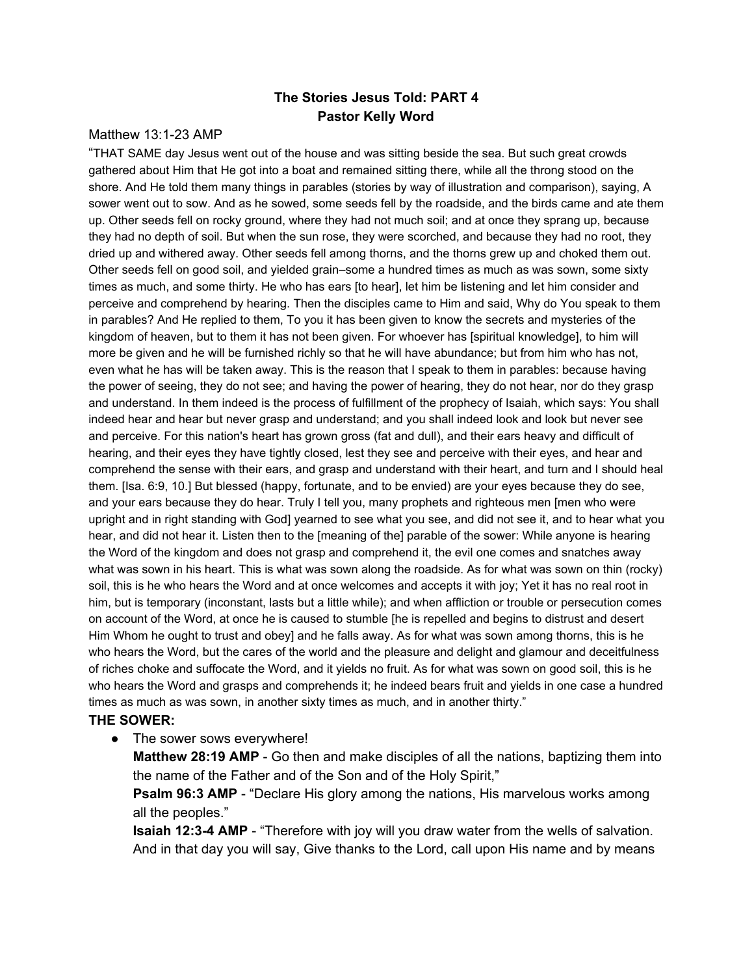# **The Stories Jesus Told: PART 4 Pastor Kelly Word**

### Matthew 13:1-23 AMP

"THAT SAME day Jesus went out of the house and was sitting beside the sea. But such great crowds gathered about Him that He got into a boat and remained sitting there, while all the throng stood on the shore. And He told them many things in parables (stories by way of illustration and comparison), saying, A sower went out to sow. And as he sowed, some seeds fell by the roadside, and the birds came and ate them up. Other seeds fell on rocky ground, where they had not much soil; and at once they sprang up, because they had no depth of soil. But when the sun rose, they were scorched, and because they had no root, they dried up and withered away. Other seeds fell among thorns, and the thorns grew up and choked them out. Other seeds fell on good soil, and yielded grain–some a hundred times as much as was sown, some sixty times as much, and some thirty. He who has ears [to hear], let him be listening and let him consider and perceive and comprehend by hearing. Then the disciples came to Him and said, Why do You speak to them in parables? And He replied to them, To you it has been given to know the secrets and mysteries of the kingdom of heaven, but to them it has not been given. For whoever has [spiritual knowledge], to him will more be given and he will be furnished richly so that he will have abundance; but from him who has not, even what he has will be taken away. This is the reason that I speak to them in parables: because having the power of seeing, they do not see; and having the power of hearing, they do not hear, nor do they grasp and understand. In them indeed is the process of fulfillment of the prophecy of Isaiah, which says: You shall indeed hear and hear but never grasp and understand; and you shall indeed look and look but never see and perceive. For this nation's heart has grown gross (fat and dull), and their ears heavy and difficult of hearing, and their eyes they have tightly closed, lest they see and perceive with their eyes, and hear and comprehend the sense with their ears, and grasp and understand with their heart, and turn and I should heal them. [Isa. 6:9, 10.] But blessed (happy, fortunate, and to be envied) are your eyes because they do see, and your ears because they do hear. Truly I tell you, many prophets and righteous men [men who were upright and in right standing with God] yearned to see what you see, and did not see it, and to hear what you hear, and did not hear it. Listen then to the [meaning of the] parable of the sower: While anyone is hearing the Word of the kingdom and does not grasp and comprehend it, the evil one comes and snatches away what was sown in his heart. This is what was sown along the roadside. As for what was sown on thin (rocky) soil, this is he who hears the Word and at once welcomes and accepts it with joy; Yet it has no real root in him, but is temporary (inconstant, lasts but a little while); and when affliction or trouble or persecution comes on account of the Word, at once he is caused to stumble [he is repelled and begins to distrust and desert Him Whom he ought to trust and obey] and he falls away. As for what was sown among thorns, this is he who hears the Word, but the cares of the world and the pleasure and delight and glamour and deceitfulness of riches choke and suffocate the Word, and it yields no fruit. As for what was sown on good soil, this is he who hears the Word and grasps and comprehends it; he indeed bears fruit and yields in one case a hundred times as much as was sown, in another sixty times as much, and in another thirty."

### **THE SOWER:**

• The sower sows everywhere!

**Matthew 28:19 AMP** - Go then and make disciples of all the nations, baptizing them into the name of the Father and of the Son and of the Holy Spirit,"

**Psalm 96:3 AMP** - "Declare His glory among the nations, His marvelous works among all the peoples."

**Isaiah 12:3-4 AMP** - "Therefore with joy will you draw water from the wells of salvation. And in that day you will say, Give thanks to the Lord, call upon His name and by means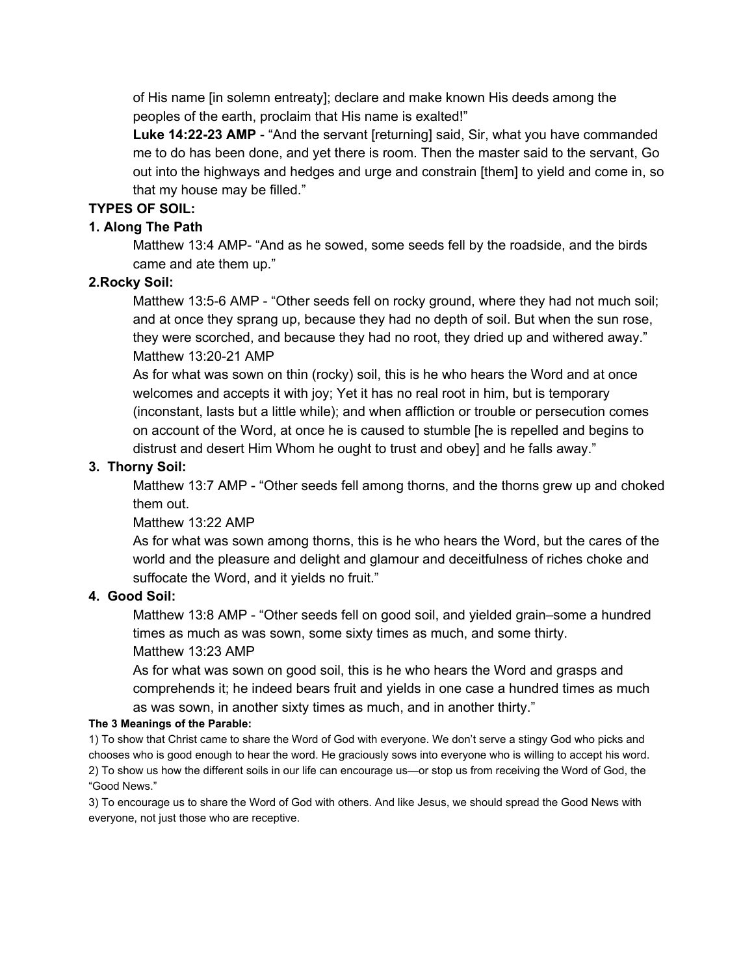of His name [in solemn entreaty]; declare and make known His deeds among the peoples of the earth, proclaim that His name is exalted!"

**Luke 14:22-23 AMP** - "And the servant [returning] said, Sir, what you have commanded me to do has been done, and yet there is room. Then the master said to the servant, Go out into the highways and hedges and urge and constrain [them] to yield and come in, so that my house may be filled."

# **TYPES OF SOIL:**

### **1. Along The Path**

Matthew 13:4 AMP- "And as he sowed, some seeds fell by the roadside, and the birds came and ate them up."

### **2.Rocky Soil:**

Matthew 13:5-6 AMP - "Other seeds fell on rocky ground, where they had not much soil; and at once they sprang up, because they had no depth of soil. But when the sun rose, they were scorched, and because they had no root, they dried up and withered away." Matthew 13:20-21 AMP

As for what was sown on thin (rocky) soil, this is he who hears the Word and at once welcomes and accepts it with joy; Yet it has no real root in him, but is temporary (inconstant, lasts but a little while); and when affliction or trouble or persecution comes on account of the Word, at once he is caused to stumble [he is repelled and begins to distrust and desert Him Whom he ought to trust and obey] and he falls away."

### **3. Thorny Soil:**

Matthew 13:7 AMP - "Other seeds fell among thorns, and the thorns grew up and choked them out.

### Matthew 13:22 AMP

As for what was sown among thorns, this is he who hears the Word, but the cares of the world and the pleasure and delight and glamour and deceitfulness of riches choke and suffocate the Word, and it yields no fruit."

### **4. Good Soil:**

Matthew 13:8 AMP - "Other seeds fell on good soil, and yielded grain–some a hundred times as much as was sown, some sixty times as much, and some thirty. Matthew 13:23 AMP

As for what was sown on good soil, this is he who hears the Word and grasps and comprehends it; he indeed bears fruit and yields in one case a hundred times as much as was sown, in another sixty times as much, and in another thirty."

### **The 3 Meanings of the Parable:**

1) To show that Christ came to share the Word of God with everyone. We don't serve a stingy God who picks and chooses who is good enough to hear the word. He graciously sows into everyone who is willing to accept his word. 2) To show us how the different soils in our life can encourage us—or stop us from receiving the Word of God, the "Good News."

3) To encourage us to share the Word of God with others. And like Jesus, we should spread the Good News with everyone, not just those who are receptive.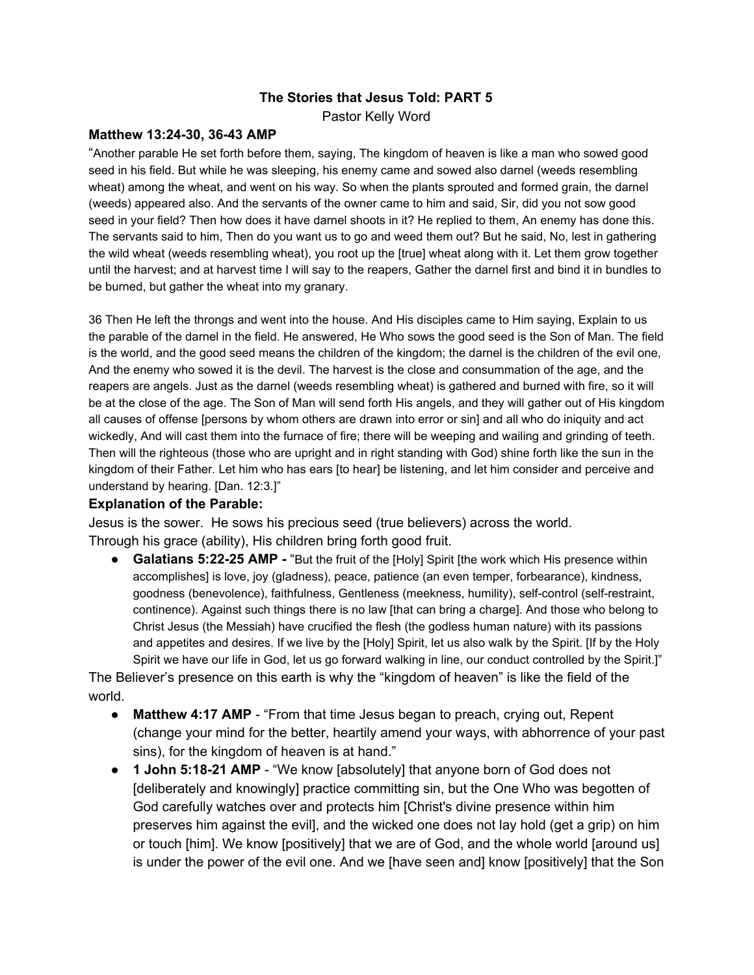# **The Stories that Jesus Told: PART 5** Pastor Kelly Word

### **Matthew13:2430, 3643AMP**

"Another parable He set forth before them, saying, The kingdom of heaven is like a man who sowed good seed in his field. But while he was sleeping, his enemy came and sowed also darnel (weeds resembling wheat) among the wheat, and went on his way. So when the plants sprouted and formed grain, the darnel (weeds) appeared also. And the servants of the owner came to him and said, Sir, did you not sow good seed in your field? Then how does it have darnel shoots in it? He replied to them, An enemy has done this. The servants said to him, Then do you want us to go and weed them out? But he said, No, lest in gathering the wild wheat (weeds resembling wheat), you root up the [true] wheat along with it. Let them grow together until the harvest; and at harvest time I will say to the reapers, Gather the darnel first and bind it in bundles to be burned, but gather the wheat into my granary.

36 Then He left the throngs and went into the house. And His disciples came to Him saying, Explain to us the parable of the darnel in the field. He answered, He Who sows the good seed is the Son of Man. The field is the world, and the good seed means the children of the kingdom; the darnel is the children of the evil one, And the enemy who sowed it is the devil. The harvest is the close and consummation of the age, and the reapers are angels. Just as the darnel (weeds resembling wheat) is gathered and burned with fire, so it will be at the close of the age. The Son of Man will send forth His angels, and they will gather out of His kingdom all causes of offense [persons by whom others are drawn into error or sin] and all who do iniquity and act wickedly, And will cast them into the furnace of fire; there will be weeping and wailing and grinding of teeth. Then will the righteous (those who are upright and in right standing with God) shine forth like the sun in the kingdom of their Father. Let him who has ears [to hear] be listening, and let him consider and perceive and understand by hearing. [Dan. 12:3.]"

### **Explanation of the Parable:**

Jesus is the sower. He sows his precious seed (true believers) across the world. Through his grace (ability), His children bring forth good fruit.

**• Galatians 5:22-25 AMP** - "But the fruit of the [Holy] Spirit [the work which His presence within accomplishes] is love, joy (gladness), peace, patience (an even temper, forbearance), kindness, goodness (benevolence), faithfulness, Gentleness (meekness, humility), self-control (self-restraint, continence). Against such things there is no law [that can bring a charge]. And those who belong to Christ Jesus (the Messiah) have crucified the flesh (the godless human nature) with its passions and appetites and desires. If we live by the [Holy] Spirit, let us also walk by the Spirit. [If by the Holy Spirit we have our life in God, let us go forward walking in line, our conduct controlled by the Spirit.]"

The Believer's presence on this earth is why the "kingdom of heaven" is like the field of the world.

- **Matthew 4:17 AMP** "From that time Jesus began to preach, crying out, Repent (change your mind for the better, heartily amend your ways, with abhorrence of your past sins), for the kingdom of heaven is at hand."
- **1 John 5:1821 AMP** "We know [absolutely] that anyone born of God does not [deliberately and knowingly] practice committing sin, but the One Who was begotten of God carefully watches over and protects him [Christ's divine presence within him preserves him against the evil], and the wicked one does not lay hold (get a grip) on him or touch [him]. We know [positively] that we are of God, and the whole world [around us] is under the power of the evil one. And we [have seen and] know [positively] that the Son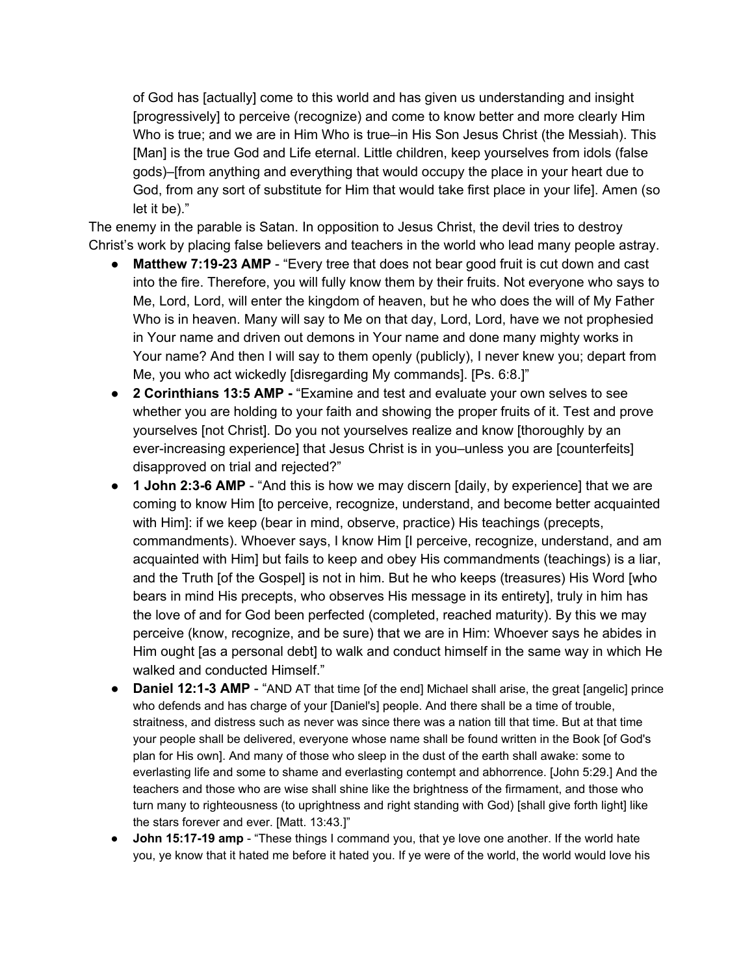of God has [actually] come to this world and has given us understanding and insight [progressively] to perceive (recognize) and come to know better and more clearly Him Who is true; and we are in Him Who is true–in His Son Jesus Christ (the Messiah). This [Man] is the true God and Life eternal. Little children, keep yourselves from idols (false gods)–[from anything and everything that would occupy the place in your heart due to God, from any sort of substitute for Him that would take first place in your life]. Amen (so let it be)."

The enemy in the parable is Satan. In opposition to Jesus Christ, the devil tries to destroy Christ's work by placing false believers and teachers in the world who lead many people astray.

- **Matthew 7:1923 AMP** "Every tree that does not bear good fruit is cut down and cast into the fire. Therefore, you will fully know them by their fruits. Not everyone who says to Me, Lord, Lord, will enter the kingdom of heaven, but he who does the will of My Father Who is in heaven. Many will say to Me on that day, Lord, Lord, have we not prophesied in Your name and driven out demons in Your name and done many mighty works in Your name? And then I will say to them openly (publicly), I never knew you; depart from Me, you who act wickedly [disregarding My commands]. [Ps. 6:8.]"
- **2 Corinthians 13:5 AMP** "Examine and test and evaluate your own selves to see whether you are holding to your faith and showing the proper fruits of it. Test and prove yourselves [not Christ]. Do you not yourselves realize and know [thoroughly by an everincreasing experience] that Jesus Christ is in you–unless you are [counterfeits] disapproved on trial and rejected?"
- **● 1 John 2:36 AMP** "And this is how we may discern [daily, by experience] that we are coming to know Him [to perceive, recognize, understand, and become better acquainted with Him]: if we keep (bear in mind, observe, practice) His teachings (precepts, commandments). Whoever says, I know Him [I perceive, recognize, understand, and am acquainted with Him] but fails to keep and obey His commandments (teachings) is a liar, and the Truth [of the Gospel] is not in him. But he who keeps (treasures) His Word [who bears in mind His precepts, who observes His message in its entirety], truly in him has the love of and for God been perfected (completed, reached maturity). By this we may perceive (know, recognize, and be sure) that we are in Him: Whoever says he abides in Him ought [as a personal debt] to walk and conduct himself in the same way in which He walked and conducted Himself."
- **● Daniel 12:13 AMP** "AND AT that time [of the end] Michael shall arise, the great [angelic] prince who defends and has charge of your [Daniel's] people. And there shall be a time of trouble, straitness, and distress such as never was since there was a nation till that time. But at that time your people shall be delivered, everyone whose name shall be found written in the Book [of God's plan for His own]. And many of those who sleep in the dust of the earth shall awake: some to everlasting life and some to shame and everlasting contempt and abhorrence. [John 5:29.] And the teachers and those who are wise shall shine like the brightness of the firmament, and those who turn many to righteousness (to uprightness and right standing with God) [shall give forth light] like the stars forever and ever. [Matt. 13:43.]"
- **● John 15:1719 amp** "These things I command you, that ye love one another. If the world hate you, ye know that it hated me before it hated you. If ye were of the world, the world would love his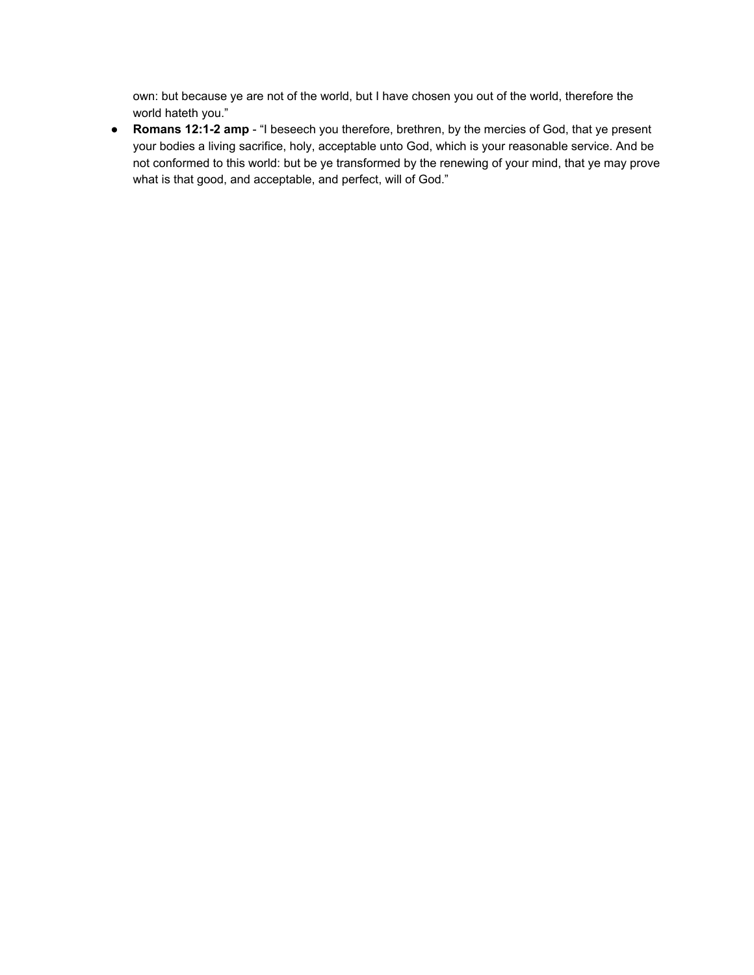own: but because ye are not of the world, but I have chosen you out of the world, therefore the world hateth you."

**• Romans 12:1-2 amp** - "I beseech you therefore, brethren, by the mercies of God, that ye present your bodies a living sacrifice, holy, acceptable unto God, which is your reasonable service. And be not conformed to this world: but be ye transformed by the renewing of your mind, that ye may prove what is that good, and acceptable, and perfect, will of God."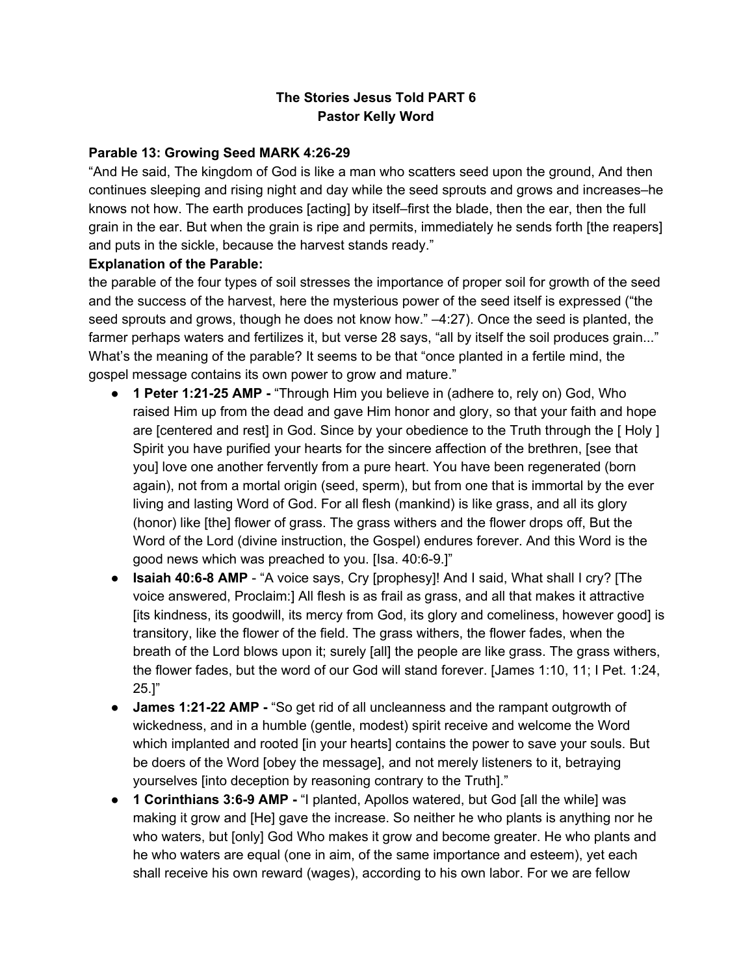# **The Stories Jesus Told PART 6 Pastor Kelly Word**

## **Parable 13: Growing Seed MARK 4:2629**

"And He said, The kingdom of God is like a man who scatters seed upon the ground, And then continues sleeping and rising night and day while the seed sprouts and grows and increases–he knows not how. The earth produces [acting] by itself–first the blade, then the ear, then the full grain in the ear. But when the grain is ripe and permits, immediately he sends forth [the reapers] and puts in the sickle, because the harvest stands ready."

### **Explanation of the Parable:**

the parable of the four types of soil stresses the importance of proper soil for growth of the seed and the success of the harvest, here the mysterious power of the seed itself is expressed ("the seed sprouts and grows, though he does not know how." –4:27). Once the seed is planted, the farmer perhaps waters and fertilizes it, but verse 28 says, "all by itself the soil produces grain..." What's the meaning of the parable? It seems to be that "once planted in a fertile mind, the gospel message contains its own power to grow and mature."

- **1 Peter 1:21-25 AMP** "Through Him you believe in (adhere to, rely on) God, Who raised Him up from the dead and gave Him honor and glory, so that your faith and hope are [centered and rest] in God. Since by your obedience to the Truth through the [ Holy ] Spirit you have purified your hearts for the sincere affection of the brethren, [see that you] love one another fervently from a pure heart. You have been regenerated (born again), not from a mortal origin (seed, sperm), but from one that is immortal by the ever living and lasting Word of God. For all flesh (mankind) is like grass, and all its glory (honor) like [the] flower of grass. The grass withers and the flower drops off, But the Word of the Lord (divine instruction, the Gospel) endures forever. And this Word is the good news which was preached to you. [Isa. 40:6-9.]"
- **• Isaiah 40:6-8 AMP** "A voice says, Cry [prophesy]! And I said, What shall I cry? [The voice answered, Proclaim:] All flesh is as frail as grass, and all that makes it attractive [its kindness, its goodwill, its mercy from God, its glory and comeliness, however good] is transitory, like the flower of the field. The grass withers, the flower fades, when the breath of the Lord blows upon it; surely [all] the people are like grass. The grass withers, the flower fades, but the word of our God will stand forever. [James 1:10, 11; I Pet. 1:24,  $25.$ ]"
- **● James 1:2122 AMP** "So get rid of all uncleanness and the rampant outgrowth of wickedness, and in a humble (gentle, modest) spirit receive and welcome the Word which implanted and rooted [in your hearts] contains the power to save your souls. But be doers of the Word [obey the message], and not merely listeners to it, betraying yourselves [into deception by reasoning contrary to the Truth]."
- **● 1 Corinthians 3:69 AMP** "I planted, Apollos watered, but God [all the while] was making it grow and [He] gave the increase. So neither he who plants is anything nor he who waters, but [only] God Who makes it grow and become greater. He who plants and he who waters are equal (one in aim, of the same importance and esteem), yet each shall receive his own reward (wages), according to his own labor. For we are fellow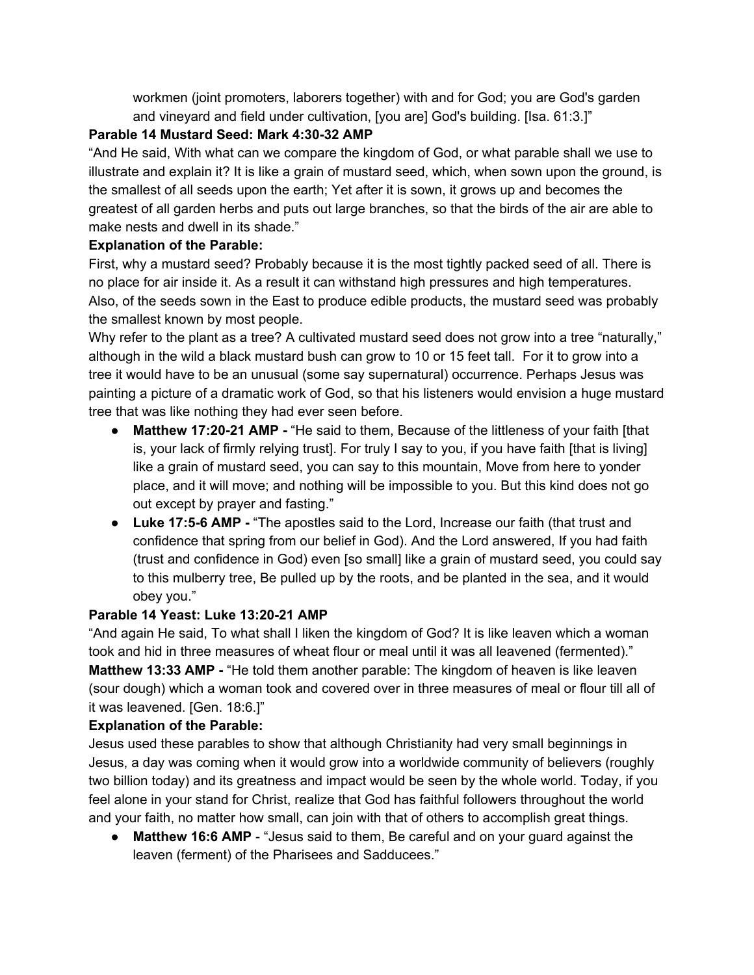workmen (joint promoters, laborers together) with and for God; you are God's garden and vineyard and field under cultivation, [you are] God's building. [Isa. 61:3.]"

# **Parable 14 Mustard Seed: Mark 4:3032 AMP**

"And He said, With what can we compare the kingdom of God, or what parable shall we use to illustrate and explain it? It is like a grain of mustard seed, which, when sown upon the ground, is the smallest of all seeds upon the earth; Yet after it is sown, it grows up and becomes the greatest of all garden herbs and puts out large branches, so that the birds of the air are able to make nests and dwell in its shade."

# **Explanation of the Parable:**

First, why a mustard seed? Probably because it is the most tightly packed seed of all. There is no place for air inside it. As a result it can withstand high pressures and high temperatures. Also, of the seeds sown in the East to produce edible products, the mustard seed was probably the smallest known by most people.

Why refer to the plant as a tree? A cultivated mustard seed does not grow into a tree "naturally," although in the wild a black mustard bush can grow to 10 or 15 feet tall. For it to grow into a tree it would have to be an unusual (some say supernatural) occurrence. Perhaps Jesus was painting a picture of a dramatic work of God, so that his listeners would envision a huge mustard tree that was like nothing they had ever seen before.

- **Matthew 17:20-21 AMP** "He said to them, Because of the littleness of your faith [that is, your lack of firmly relying trust]. For truly I say to you, if you have faith [that is living] like a grain of mustard seed, you can say to this mountain, Move from here to yonder place, and it will move; and nothing will be impossible to you. But this kind does not go out except by prayer and fasting."
- **● Luke 17:56 AMP** "The apostles said to the Lord, Increase our faith (that trust and confidence that spring from our belief in God). And the Lord answered, If you had faith (trust and confidence in God) even [so small] like a grain of mustard seed, you could say to this mulberry tree, Be pulled up by the roots, and be planted in the sea, and it would obey you."

# **Parable 14 Yeast: Luke 13:2021 AMP**

"And again He said, To what shall I liken the kingdom of God? It is like leaven which a woman took and hid in three measures of wheat flour or meal until it was all leavened (fermented)." **Matthew 13:33 AMP** - "He told them another parable: The kingdom of heaven is like leaven (sour dough) which a woman took and covered over in three measures of meal or flour till all of it was leavened. [Gen. 18:6.]"

# **Explanation of the Parable:**

Jesus used these parables to show that although Christianity had very small beginnings in Jesus, a day was coming when it would grow into a worldwide community of believers (roughly two billion today) and its greatness and impact would be seen by the whole world. Today, if you feel alone in your stand for Christ, realize that God has faithful followers throughout the world and your faith, no matter how small, can join with that of others to accomplish great things.

**● Matthew 16:6 AMP** "Jesus said to them, Be careful and on your guard against the leaven (ferment) of the Pharisees and Sadducees."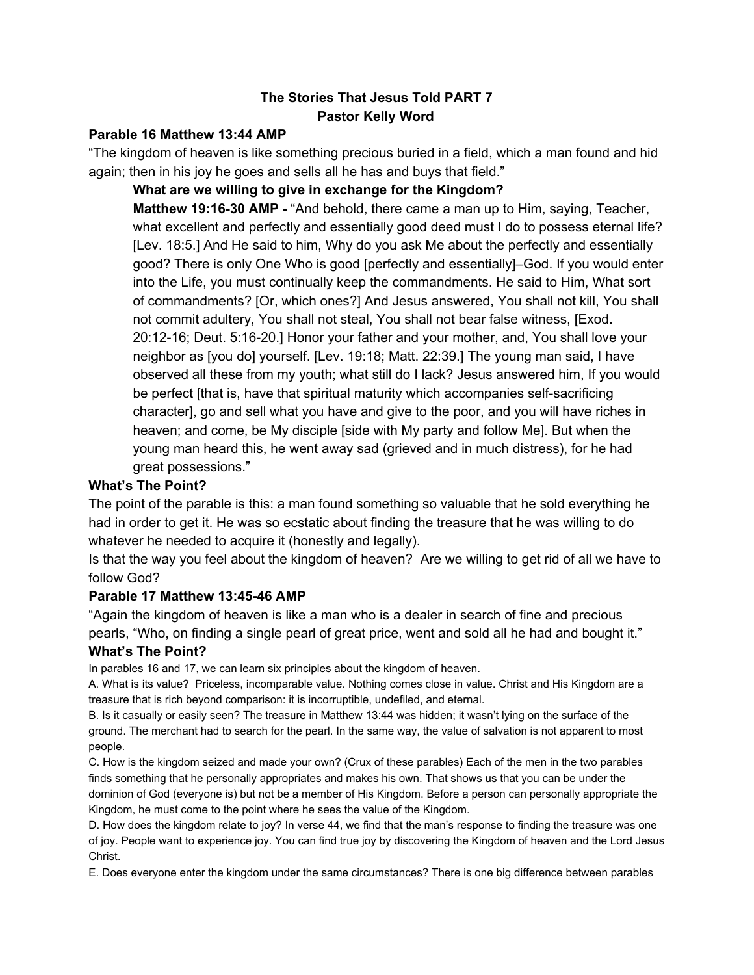# **The Stories That Jesus Told PART 7 Pastor Kelly Word**

### **Parable 16 Matthew 13:44 AMP**

"The kingdom of heaven is like something precious buried in a field, which a man found and hid again; then in his joy he goes and sells all he has and buys that field."

**What are we willing to give in exchange for the Kingdom?**

**Matthew 19:16-30 AMP** - "And behold, there came a man up to Him, saying, Teacher, what excellent and perfectly and essentially good deed must I do to possess eternal life? [Lev. 18:5.] And He said to him, Why do you ask Me about the perfectly and essentially good? There is only One Who is good [perfectly and essentially]–God. If you would enter into the Life, you must continually keep the commandments. He said to Him, What sort of commandments? [Or, which ones?] And Jesus answered, You shall not kill, You shall not commit adultery, You shall not steal, You shall not bear false witness, [Exod. 20:12-16; Deut. 5:16-20.] Honor your father and your mother, and, You shall love your neighbor as [you do] yourself. [Lev. 19:18; Matt. 22:39.] The young man said, I have observed all these from my youth; what still do I lack? Jesus answered him, If you would be perfect [that is, have that spiritual maturity which accompanies self-sacrificing character], go and sell what you have and give to the poor, and you will have riches in heaven; and come, be My disciple [side with My party and follow Me]. But when the young man heard this, he went away sad (grieved and in much distress), for he had great possessions."

### **What's The Point?**

The point of the parable is this: a man found something so valuable that he sold everything he had in order to get it. He was so ecstatic about finding the treasure that he was willing to do whatever he needed to acquire it (honestly and legally).

Is that the way you feel about the kingdom of heaven? Are we willing to get rid of all we have to follow God?

### **Parable 17 Matthew 13:4546 AMP**

"Again the kingdom of heaven is like a man who is a dealer in search of fine and precious pearls, "Who, on finding a single pearl of great price, went and sold all he had and bought it." **What's The Point?**

In parables 16 and 17, we can learn six principles about the kingdom of heaven.

A. What is its value? Priceless, incomparable value. Nothing comes close in value. Christ and His Kingdom are a treasure that is rich beyond comparison: it is incorruptible, undefiled, and eternal.

B. Is it casually or easily seen? The treasure in Matthew 13:44 was hidden; it wasn't lying on the surface of the ground. The merchant had to search for the pearl. In the same way, the value of salvation is not apparent to most people.

C. How is the kingdom seized and made your own? (Crux of these parables) Each of the men in the two parables finds something that he personally appropriates and makes his own. That shows us that you can be under the dominion of God (everyone is) but not be a member of His Kingdom. Before a person can personally appropriate the Kingdom, he must come to the point where he sees the value of the Kingdom.

D. How does the kingdom relate to joy? In verse 44, we find that the man's response to finding the treasure was one of joy. People want to experience joy. You can find true joy by discovering the Kingdom of heaven and the Lord Jesus Christ.

E. Does everyone enter the kingdom under the same circumstances? There is one big difference between parables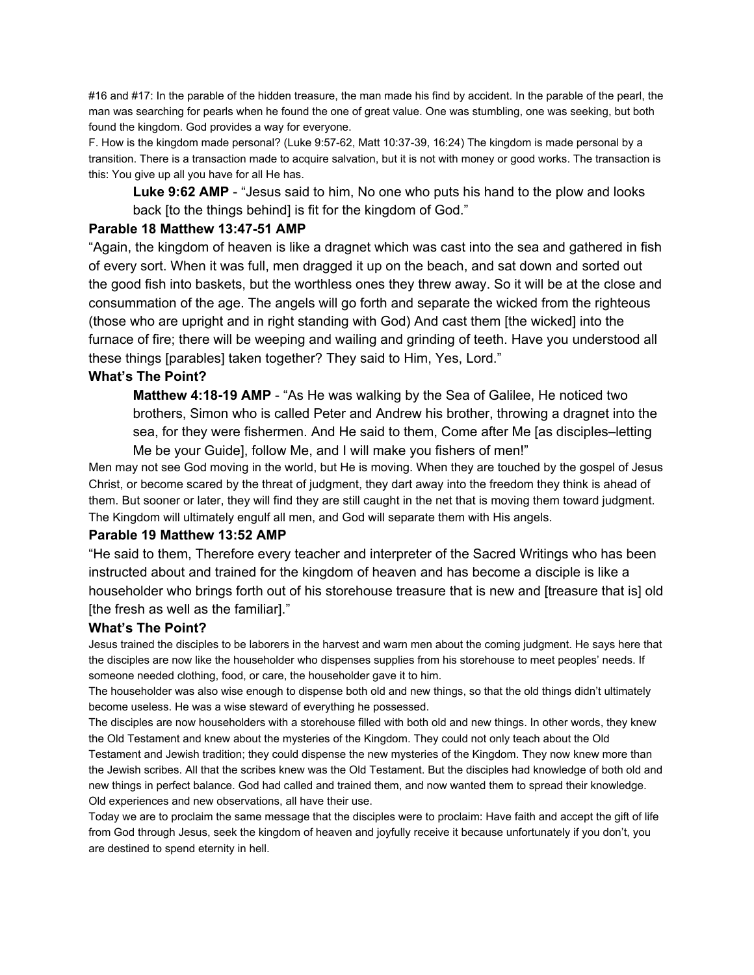#16 and #17: In the parable of the hidden treasure, the man made his find by accident. In the parable of the pearl, the man was searching for pearls when he found the one of great value. One was stumbling, one was seeking, but both found the kingdom. God provides a way for everyone.

F. How is the kingdom made personal? (Luke 9:57-62, Matt 10:37-39, 16:24) The kingdom is made personal by a transition. There is a transaction made to acquire salvation, but it is not with money or good works. The transaction is this: You give up all you have for all He has.

**Luke 9:62 AMP** - "Jesus said to him, No one who puts his hand to the plow and looks back [to the things behind] is fit for the kingdom of God."

### **Parable 18 Matthew 13:4751 AMP**

"Again, the kingdom of heaven is like a dragnet which was cast into the sea and gathered in fish of every sort. When it was full, men dragged it up on the beach, and sat down and sorted out the good fish into baskets, but the worthless ones they threw away. So it will be at the close and consummation of the age. The angels will go forth and separate the wicked from the righteous (those who are upright and in right standing with God) And cast them [the wicked] into the furnace of fire; there will be weeping and wailing and grinding of teeth. Have you understood all these things [parables] taken together? They said to Him, Yes, Lord."

#### **What's The Point?**

**Matthew 4:18-19 AMP** - "As He was walking by the Sea of Galilee, He noticed two brothers, Simon who is called Peter and Andrew his brother, throwing a dragnet into the sea, for they were fishermen. And He said to them, Come after Me [as disciples–letting Me be your Guide], follow Me, and I will make you fishers of men!"

Men may not see God moving in the world, but He is moving. When they are touched by the gospel of Jesus Christ, or become scared by the threat of judgment, they dart away into the freedom they think is ahead of them. But sooner or later, they will find they are still caught in the net that is moving them toward judgment. The Kingdom will ultimately engulf all men, and God will separate them with His angels.

#### **Parable 19 Matthew 13:52 AMP**

"He said to them, Therefore every teacher and interpreter of the Sacred Writings who has been instructed about and trained for the kingdom of heaven and has become a disciple is like a householder who brings forth out of his storehouse treasure that is new and [treasure that is] old [the fresh as well as the familiar]."

#### **What's The Point?**

Jesus trained the disciples to be laborers in the harvest and warn men about the coming judgment. He says here that the disciples are now like the householder who dispenses supplies from his storehouse to meet peoples' needs. If someone needed clothing, food, or care, the householder gave it to him.

The householder was also wise enough to dispense both old and new things, so that the old things didn't ultimately become useless. He was a wise steward of everything he possessed.

The disciples are now householders with a storehouse filled with both old and new things. In other words, they knew the Old Testament and knew about the mysteries of the Kingdom. They could not only teach about the Old Testament and Jewish tradition; they could dispense the new mysteries of the Kingdom. They now knew more than the Jewish scribes. All that the scribes knew was the Old Testament. But the disciples had knowledge of both old and new things in perfect balance. God had called and trained them, and now wanted them to spread their knowledge. Old experiences and new observations, all have their use.

Today we are to proclaim the same message that the disciples were to proclaim: Have faith and accept the gift of life from God through Jesus, seek the kingdom of heaven and joyfully receive it because unfortunately if you don't, you are destined to spend eternity in hell.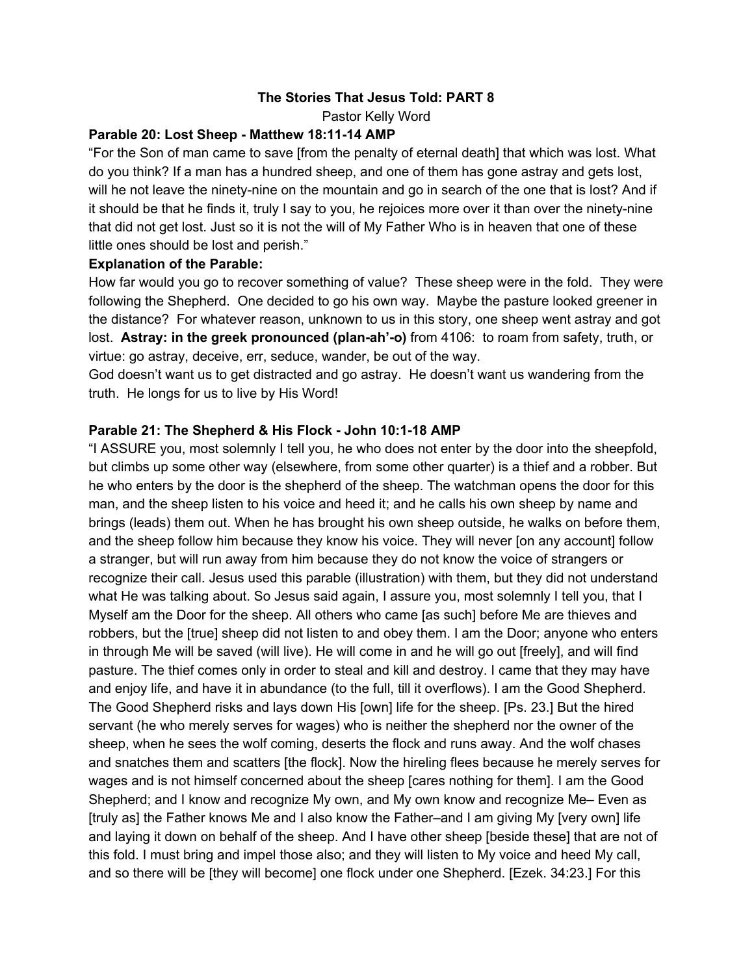### **The Stories That Jesus Told: PART 8**

Pastor Kelly Word

### **Parable 20: Lost Sheep Matthew 18:1114 AMP**

"For the Son of man came to save [from the penalty of eternal death] that which was lost. What do you think? If a man has a hundred sheep, and one of them has gone astray and gets lost, will he not leave the ninety-nine on the mountain and go in search of the one that is lost? And if it should be that he finds it, truly I say to you, he rejoices more over it than over the ninety-nine that did not get lost. Just so it is not the will of My Father Who is in heaven that one of these little ones should be lost and perish."

### **Explanation of the Parable:**

How far would you go to recover something of value? These sheep were in the fold. They were following the Shepherd. One decided to go his own way. Maybe the pasture looked greener in the distance? For whatever reason, unknown to us in this story, one sheep went astray and got lost. Astray: in the greek pronounced (plan-ah'-o) from 4106: to roam from safety, truth, or virtue: go astray, deceive, err, seduce, wander, be out of the way.

God doesn't want us to get distracted and go astray. He doesn't want us wandering from the truth. He longs for us to live by His Word!

### **Parable 21: The Shepherd & His Flock John 10:118 AMP**

"I ASSURE you, most solemnly I tell you, he who does not enter by the door into the sheepfold, but climbs up some other way (elsewhere, from some other quarter) is a thief and a robber. But he who enters by the door is the shepherd of the sheep. The watchman opens the door for this man, and the sheep listen to his voice and heed it; and he calls his own sheep by name and brings (leads) them out. When he has brought his own sheep outside, he walks on before them, and the sheep follow him because they know his voice. They will never [on any account] follow a stranger, but will run away from him because they do not know the voice of strangers or recognize their call. Jesus used this parable (illustration) with them, but they did not understand what He was talking about. So Jesus said again, I assure you, most solemnly I tell you, that I Myself am the Door for the sheep. All others who came [as such] before Me are thieves and robbers, but the [true] sheep did not listen to and obey them. I am the Door; anyone who enters in through Me will be saved (will live). He will come in and he will go out [freely], and will find pasture. The thief comes only in order to steal and kill and destroy. I came that they may have and enjoy life, and have it in abundance (to the full, till it overflows). I am the Good Shepherd. The Good Shepherd risks and lays down His [own] life for the sheep. [Ps. 23.] But the hired servant (he who merely serves for wages) who is neither the shepherd nor the owner of the sheep, when he sees the wolf coming, deserts the flock and runs away. And the wolf chases and snatches them and scatters [the flock]. Now the hireling flees because he merely serves for wages and is not himself concerned about the sheep [cares nothing for them]. I am the Good Shepherd; and I know and recognize My own, and My own know and recognize Me– Even as [truly as] the Father knows Me and I also know the Father–and I am giving My [very own] life and laying it down on behalf of the sheep. And I have other sheep [beside these] that are not of this fold. I must bring and impel those also; and they will listen to My voice and heed My call, and so there will be [they will become] one flock under one Shepherd. [Ezek. 34:23.] For this